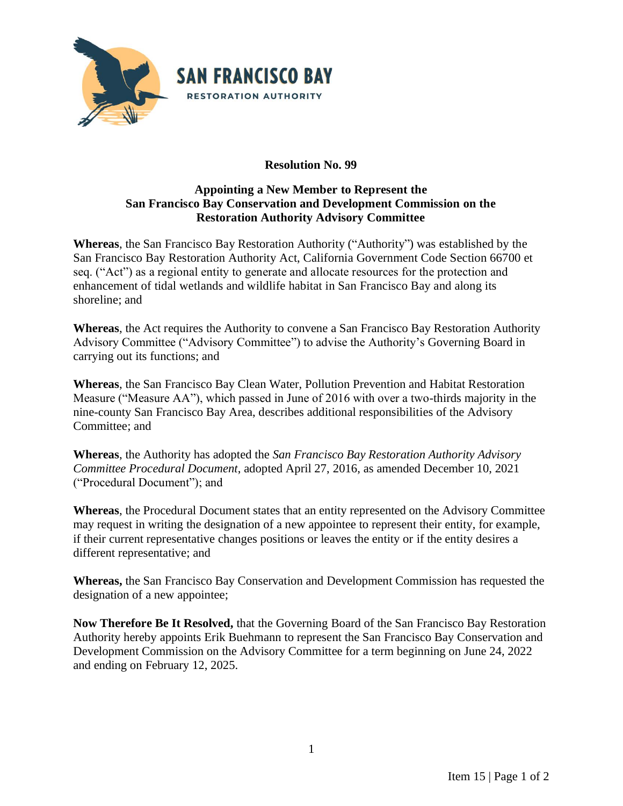

## **Resolution No. 99**

## **Appointing a New Member to Represent the San Francisco Bay Conservation and Development Commission on the Restoration Authority Advisory Committee**

**Whereas**, the San Francisco Bay Restoration Authority ("Authority") was established by the San Francisco Bay Restoration Authority Act, California Government Code Section 66700 et seq. ("Act") as a regional entity to generate and allocate resources for the protection and enhancement of tidal wetlands and wildlife habitat in San Francisco Bay and along its shoreline; and

**Whereas**, the Act requires the Authority to convene a San Francisco Bay Restoration Authority Advisory Committee ("Advisory Committee") to advise the Authority's Governing Board in carrying out its functions; and

**Whereas**, the San Francisco Bay Clean Water, Pollution Prevention and Habitat Restoration Measure ("Measure AA"), which passed in June of 2016 with over a two-thirds majority in the nine-county San Francisco Bay Area, describes additional responsibilities of the Advisory Committee; and

**Whereas**, the Authority has adopted the *San Francisco Bay Restoration Authority Advisory Committee Procedural Document*, adopted April 27, 2016, as amended December 10, 2021 ("Procedural Document"); and

**Whereas**, the Procedural Document states that an entity represented on the Advisory Committee may request in writing the designation of a new appointee to represent their entity, for example, if their current representative changes positions or leaves the entity or if the entity desires a different representative; and

**Whereas,** the San Francisco Bay Conservation and Development Commission has requested the designation of a new appointee;

**Now Therefore Be It Resolved,** that the Governing Board of the San Francisco Bay Restoration Authority hereby appoints Erik Buehmann to represent the San Francisco Bay Conservation and Development Commission on the Advisory Committee for a term beginning on June 24, 2022 and ending on February 12, 2025.